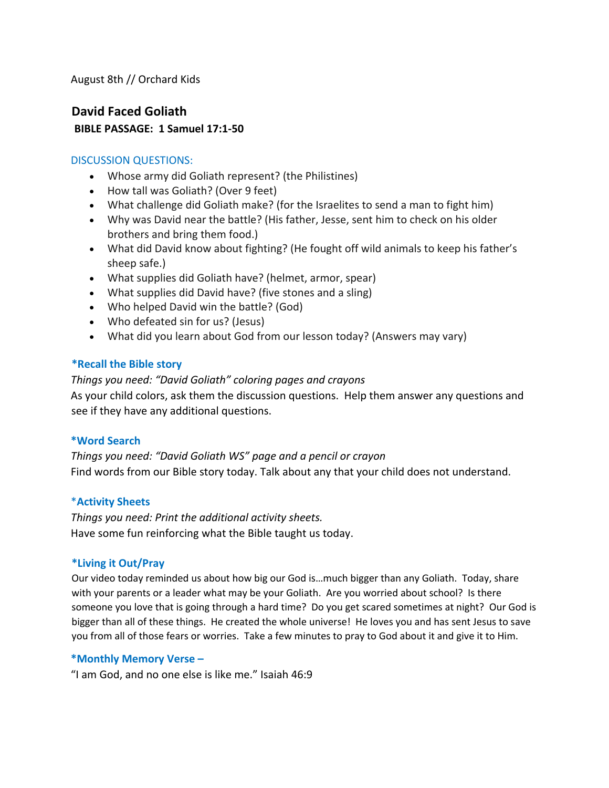August 8th // Orchard Kids

### **David Faced Goliath BIBLE PASSAGE: 1 Samuel 17:1-50**

#### DISCUSSION QUESTIONS:

- Whose army did Goliath represent? (the Philistines)
- How tall was Goliath? (Over 9 feet)
- What challenge did Goliath make? (for the Israelites to send a man to fight him)
- Why was David near the battle? (His father, Jesse, sent him to check on his older brothers and bring them food.)
- What did David know about fighting? (He fought off wild animals to keep his father's sheep safe.)
- What supplies did Goliath have? (helmet, armor, spear)
- What supplies did David have? (five stones and a sling)
- Who helped David win the battle? (God)
- Who defeated sin for us? (Jesus)
- What did you learn about God from our lesson today? (Answers may vary)

#### **\*Recall the Bible story**

*Things you need: "David Goliath" coloring pages and crayons*  As your child colors, ask them the discussion questions. Help them answer any questions and see if they have any additional questions.

#### **\*Word Search**

*Things you need: "David Goliath WS" page and a pencil or crayon*  Find words from our Bible story today. Talk about any that your child does not understand.

#### \***Activity Sheets**

*Things you need: Print the additional activity sheets.*  Have some fun reinforcing what the Bible taught us today.

#### **\*Living it Out/Pray**

Our video today reminded us about how big our God is…much bigger than any Goliath. Today, share with your parents or a leader what may be your Goliath. Are you worried about school? Is there someone you love that is going through a hard time? Do you get scared sometimes at night? Our God is bigger than all of these things. He created the whole universe! He loves you and has sent Jesus to save you from all of those fears or worries. Take a few minutes to pray to God about it and give it to Him.

#### **\*Monthly Memory Verse –**

"I am God, and no one else is like me." Isaiah 46:9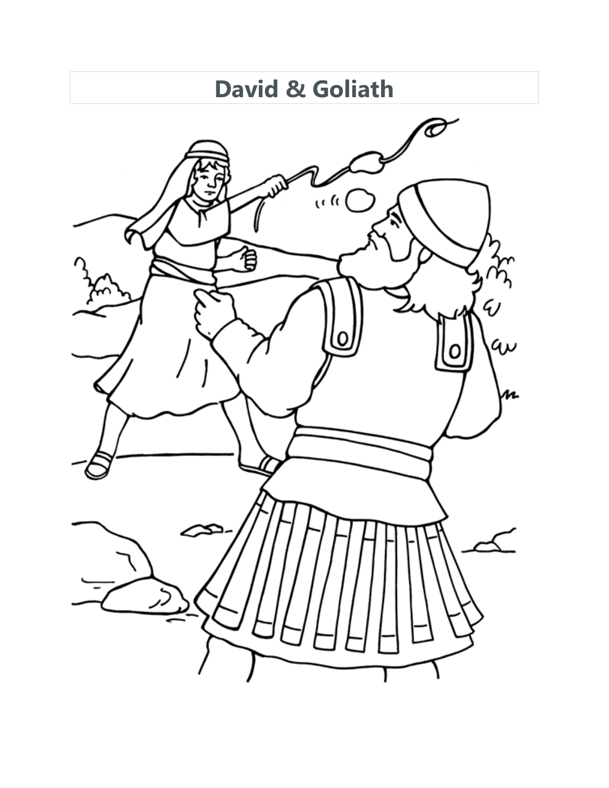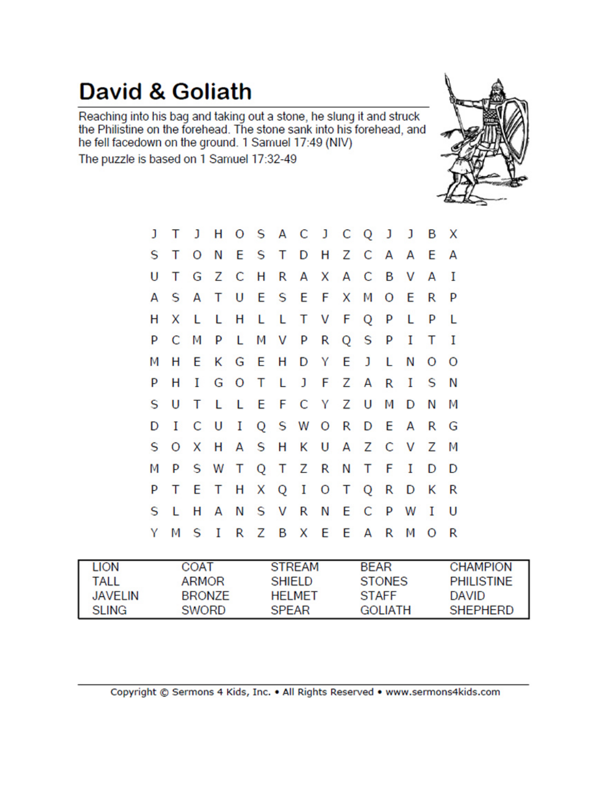### **David & Goliath**

Reaching into his bag and taking out a stone, he slung it and struck<br>the Philistine on the forehead. The stone sank into his forehead, and he fell facedown on the ground. 1 Samuel 17:49 (NIV)

The puzzle is based on 1 Samuel 17:32-49



| J | т       | J       |             |     |     |   | H O S A C J C Q J J   |     |       |              |   |              | в            | X |
|---|---------|---------|-------------|-----|-----|---|-----------------------|-----|-------|--------------|---|--------------|--------------|---|
| S | т       | $\circ$ |             |     |     |   | N E S T D H Z C A A E |     |       |              |   |              |              | А |
| U | т       |         | G Z C H R   |     |     |   |                       |     |       | A X A C B V  |   |              | Α            | Ι |
| А | S.      | A       | T.          |     |     |   | U E S E F X M O E     |     |       |              |   |              | R            | P |
| н | X       | L.      | L.          | н   | L L |   | T.                    |     | V F Q |              | P | L            | P            | L |
| P | С       | М       |             | P L |     |   | M V P R Q S P         |     |       |              |   | 1            | т            | Ι |
| М | н       |         | EKGEH       |     |     |   |                       | D Y | E.    | $\mathbf{J}$ | L | Ν            | O            | O |
| P | н       |         |             |     |     |   | I G O T L J F Z A     |     |       |              |   | $R$ I        | <b>S</b>     | Ν |
| S | U       | Т       |             |     |     |   | L L E F C Y Z U       |     |       |              | Μ | $\mathsf{D}$ | Ν            | М |
| D | 1       |         | C U I       |     |     |   | Q S W O               |     |       | R D E        |   | А            | R            | G |
| S | $\circ$ | X.      |             |     |     |   | H A S H K U A Z C V   |     |       |              |   |              | Z            | M |
| М | P       |         |             |     |     |   | S W T Q T Z R         |     |       | N T          | F | $\mathbf I$  | D            | D |
| P | т       |         |             |     |     |   | E T H X Q I O T Q R   |     |       |              |   | D K          |              | R |
| S | L       | н       | A           | N   |     |   | S V R                 |     |       | N E C P      |   | W            | $\mathbf{I}$ | U |
| Y | М       | S       | $\mathbf I$ |     | R Z | B |                       |     |       | X E E A      | R | М            | $\circ$      | R |

| <b>LION</b> | COAT   | <b>STREAM</b>  | <b>BFAR</b>    | <b>CHAMPION</b>   |
|-------------|--------|----------------|----------------|-------------------|
| tall        | ARMOR  | <b>SHIFLD</b>  | <b>STONES</b>  | <b>PHILISTINE</b> |
| JAVELIN     | BRONZE | <b>HFI MFT</b> | <b>STAFF</b>   | <b>DAVID</b>      |
| SLING.      | SWORD  | <b>SPEAR</b>   | <b>GOLIATH</b> | <b>SHEPHERD</b>   |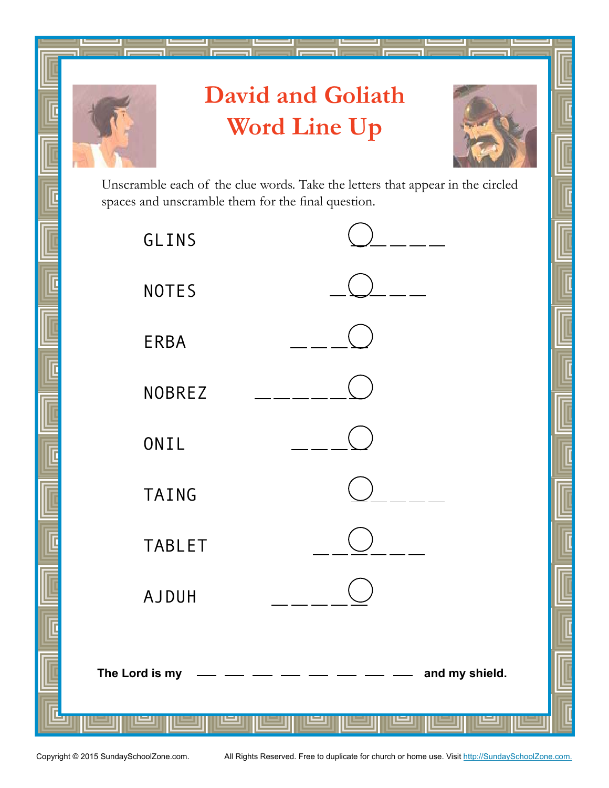

# **David and Goliath Word Line Up**



Unscramble each of the clue words. Take the letters that appear in the circled spaces and unscramble them for the final question.

| GLINS                            |  |  |  |  |  |
|----------------------------------|--|--|--|--|--|
| <b>NOTES</b>                     |  |  |  |  |  |
| ERBA                             |  |  |  |  |  |
| <b>NOBREZ</b>                    |  |  |  |  |  |
| ONIL                             |  |  |  |  |  |
| <b>TAING</b>                     |  |  |  |  |  |
| <b>TABLET</b>                    |  |  |  |  |  |
| <b>AJDUH</b>                     |  |  |  |  |  |
|                                  |  |  |  |  |  |
| The Lord is my<br>and my shield. |  |  |  |  |  |
|                                  |  |  |  |  |  |

Copyright © 2015 SundaySchoolZone.com. All Rights Reserved. Free to duplicate for church or home use. Visit http://SundaySchoolZone.com.